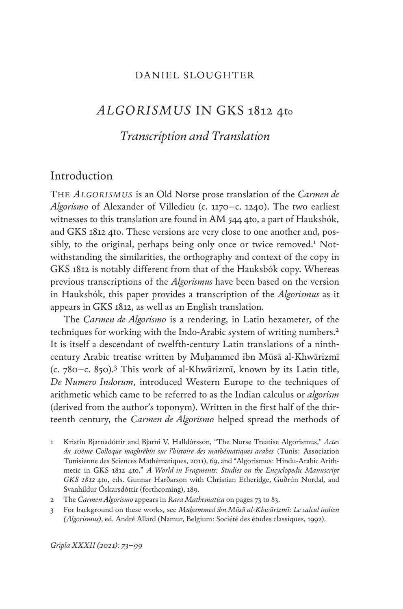#### DANIEL SLOUGHTER

# *ALGORISMUS* IN GKS 1812 4to

# *Transcription and Translation*

# Introduction

The *Algorismus* is an Old Norse prose translation of the *Carmen de Algorismo* of Alexander of Villedieu (c. 1170–c. 1240). The two earliest witnesses to this translation are found in AM 544 4to, a part of Hauksbók, and GKS 1812 4to. These versions are very close to one another and, possibly, to the original, perhaps being only once or twice removed.<sup>1</sup> Notwithstanding the similarities, the orthography and context of the copy in GKS 1812 is notably different from that of the Hauksbók copy. Whereas previous transcriptions of the *Algorismus* have been based on the version in Hauksbók, this paper provides a transcription of the *Algorismus* as it appears in GKS 1812, as well as an English translation.

The *Carmen de Algorismo* is a rendering, in Latin hexameter, of the techniques for working with the Indo-Arabic system of writing numbers.<sup>2</sup> It is itself a descendant of twelfth-century Latin translations of a ninthcentury Arabic treatise written by Muḥammed ibn Mūsā al-Khwārizmī (c. 780–c. 850).3 This work of al-Khwārizmī, known by its Latin title, *De Numero Indorum*, introduced Western Europe to the techniques of arithmetic which came to be referred to as the Indian calculus or *algorism* (derived from the author's toponym). Written in the first half of the thirteenth century, the *Carmen de Algorismo* helped spread the methods of

<sup>1</sup> Kristín Bjarnadóttir and Bjarni V. Halldórsson, "The Norse Treatise Algorismus," *Actes du 10ème Colloque maghrébin sur l'histoire des mathématiques arabes* (Tunis: Association Tunisienne des Sciences Mathématiques, 2011), 69, and "Algorismus: Hindu-Arabic Arithmetic in GKS 1812 4to," *A World in Fragments: Studies on the Encyclopedic Manuscript GKS 1812* 4to, eds. Gunnar Harðarson with Christian Etheridge, Guðrún Nordal, and Svanhildur Óskarsdóttir (forthcoming), 189.

<sup>2</sup> The *Carmen Algorismo* appears in *Rara Mathematica* on pages 73 to 83.

<sup>3</sup> For background on these works, see *Muḥammed ibn Mūsā al-Khwārizmī: Le calcul indien (Algorismus)*, ed. André Allard (Namur, Belgium: Société des études classiques, 1992).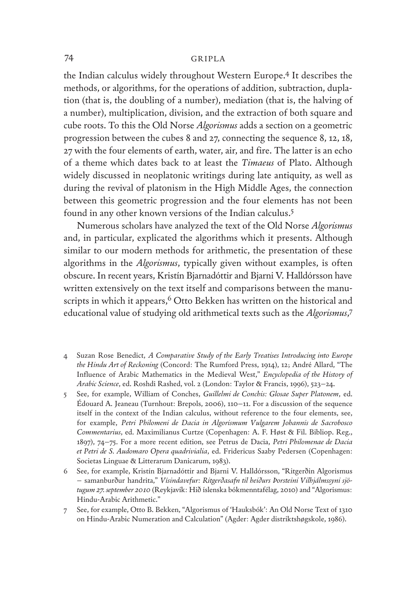the Indian calculus widely throughout Western Europe.4 It describes the methods, or algorithms, for the operations of addition, subtraction, duplation (that is, the doubling of a number), mediation (that is, the halving of a number), multiplication, division, and the extraction of both square and cube roots. To this the Old Norse *Algorismus* adds a section on a geometric progression between the cubes 8 and 27, connecting the sequence 8, 12, 18, 27 with the four elements of earth, water, air, and fire. The latter is an echo of a theme which dates back to at least the *Timaeus* of Plato. Although widely discussed in neoplatonic writings during late antiquity, as well as during the revival of platonism in the High Middle Ages, the connection between this geometric progression and the four elements has not been found in any other known versions of the Indian calculus.5

Numerous scholars have analyzed the text of the Old Norse *Algorismus* and, in particular, explicated the algorithms which it presents. Although similar to our modern methods for arithmetic, the presentation of these algorithms in the *Algorismus*, typically given without examples, is often obscure. In recent years, Kristín Bjarnadóttir and Bjarni V. Halldórsson have written extensively on the text itself and comparisons between the manuscripts in which it appears,<sup>6</sup> Otto Bekken has written on the historical and educational value of studying old arithmetical texts such as the *Algorismus*, 7

- 4 Suzan Rose Benedict, *A Comparative Study of the Early Treatises Introducing into Europe the Hindu Art of Reckoning* (Concord: The Rumford Press, 1914), 12; André Allard, "The Influence of Arabic Mathematics in the Medieval West," *Encyclopedia of the History of Arabic Science*, ed. Roshdi Rashed, vol. 2 (London: Taylor & Francis, 1996), 523–24.
- 5 See, for example, William of Conches, *Guillelmi de Conchis: Glosae Super Platonem*, ed. Édouard A. Jeaneau (Turnhout: Brepols, 2006), 110–11. For a discussion of the sequence itself in the context of the Indian calculus, without reference to the four elements, see, for example, *Petri Philomeni de Dacia in Algorismum Vulgarem Johannis de Sacrobosco Commentarius*, ed. Maximilianus Curtze (Copenhagen: A. F. Høst & Fil. Bibliop. Reg., 1897), 74–75. For a more recent edition, see Petrus de Dacia, *Petri Philomenae de Dacia et Petri de S. Audomaro Opera quadrivialia*, ed. Fridericus Saaby Pedersen (Copenhagen: Societas Linguae & Litterarum Danicarum, 1983).
- 6 See, for example, Kristín Bjarnadóttir and Bjarni V. Halldórsson, "Ritgerðin Algorismus – samanburður handrita," *Vísindavefur: Ritgerðasafn til heiðurs Þorsteini Vilhjálmssyni sjötugum 27. september 2010* (Reykjavík: Hið íslenska bókmenntafélag, 2010) and "Algorismus: Hindu-Arabic Arithmetic."
- 7 See, for example, Otto B. Bekken, "Algorismus of 'Hauksbók': An Old Norse Text of 1310 on Hindu-Arabic Numeration and Calculation" (Agder: Agder distriktshøgskole, 1986).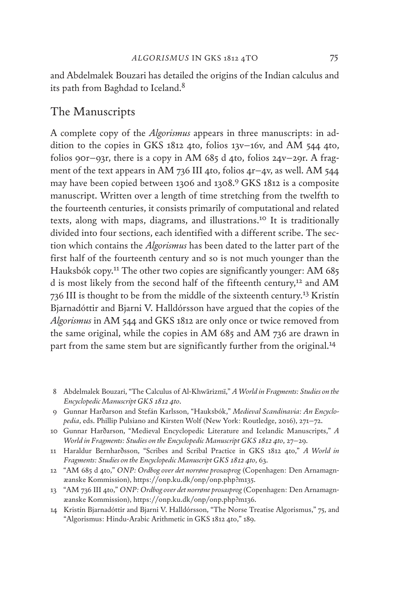and Abdelmalek Bouzari has detailed the origins of the Indian calculus and its path from Baghdad to Iceland.8

# The Manuscripts

A complete copy of the *Algorismus* appears in three manuscripts: in addition to the copies in GKS 1812 4to, folios 13v–16v, and AM 544 4to, folios 90r–93r, there is a copy in AM 685 d 4to, folios 24v–29r. A fragment of the text appears in AM 736 III 4to, folios 4r–4v, as well. AM 544 may have been copied between 1306 and 1308.9 GKS 1812 is a composite manuscript. Written over a length of time stretching from the twelfth to the fourteenth centuries, it consists primarily of computational and related texts, along with maps, diagrams, and illustrations.10 It is traditionally divided into four sections, each identified with a different scribe. The section which contains the *Algorismus* has been dated to the latter part of the first half of the fourteenth century and so is not much younger than the Hauksbók copy.<sup>11</sup> The other two copies are significantly younger: AM 685 d is most likely from the second half of the fifteenth century,<sup>12</sup> and AM 736 III is thought to be from the middle of the sixteenth century.13 Kristín Bjarnadóttir and Bjarni V. Halldórsson have argued that the copies of the *Algorismus* in AM 544 and GKS 1812 are only once or twice removed from the same original, while the copies in AM 685 and AM 736 are drawn in part from the same stem but are significantly further from the original.<sup>14</sup>

- 8 Abdelmalek Bouzari, "The Calculus of Al-Khwārizmī," *A World in Fragments: Studies on the Encyclopedic Manuscript GKS 1812 4to*.
- 9 Gunnar Harðarson and Stefán Karlsson, "Hauksbók," *Medieval Scandinavia: An Encyclopedia*, eds. Phillip Pulsiano and Kirsten Wolf (New York: Routledge, 2016), 271–72.
- 10 Gunnar Harðarson, "Medieval Encyclopedic Literature and Icelandic Manuscripts," *A World in Fragments: Studies on the Encyclopedic Manuscript GKS 1812 4to*, 27–29.
- 11 Haraldur Bernharðsson, "Scribes and Scribal Practice in GKS 1812 4to," *A World in Fragments: Studies on the Encyclopedic Manuscript GKS 1812 4to*, 63.
- 12 "AM 685 d 4to," *ONP: Ordbog over det norrøne prosasprog* (Copenhagen: Den Arnamagnæanske Kommission), https://onp.ku.dk/onp/onp.php?m135.
- 13 "AM 736 III 4to," *ONP: Ordbog over det norrøne prosasprog* (Copenhagen: Den Arnamagnæanske Kommission), https://onp.ku.dk/onp/onp.php?m136.
- 14 Kristín Bjarnadóttir and Bjarni V. Halldórsson, "The Norse Treatise Algorismus," 75, and "Algorismus: Hindu-Arabic Arithmetic in GKS 1812 4to," 189.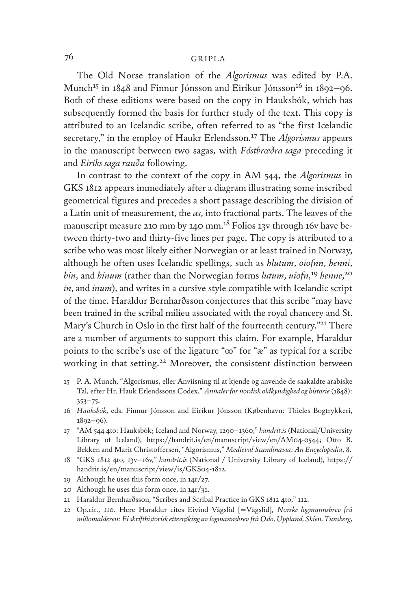The Old Norse translation of the *Algorismus* was edited by P.A. Munch<sup>15</sup> in 1848 and Finnur Jónsson and Eiríkur Jónsson<sup>16</sup> in 1892–96. Both of these editions were based on the copy in Hauksbók, which has subsequently formed the basis for further study of the text. This copy is attributed to an Icelandic scribe, often referred to as "the first Icelandic secretary," in the employ of Haukr Erlendsson.17 The *Algorismus* appears in the manuscript between two sagas, with *Fóstbrœðra saga* preceding it and *Eiríks saga rauða* following.

In contrast to the context of the copy in AM 544, the *Algorismus* in GKS 1812 appears immediately after a diagram illustrating some inscribed geometrical figures and precedes a short passage describing the division of a Latin unit of measurement, the *as*, into fractional parts. The leaves of the manuscript measure 210 mm by 140 mm.18 Folios 13v through 16v have between thirty-two and thirty-five lines per page. The copy is attributed to a scribe who was most likely either Norwegian or at least trained in Norway, although he often uses Icelandic spellings, such as *hlutum*, *oiofnn*, *henni*, *hin*, and *hinum* (rather than the Norwegian forms *lutum*, *uiofn*, <sup>19</sup> *henne*, 20 *in*, and *inum*), and writes in a cursive style compatible with Icelandic script of the time. Haraldur Bernharðsson conjectures that this scribe "may have been trained in the scribal milieu associated with the royal chancery and St. Mary's Church in Oslo in the first half of the fourteenth century."<sup>21</sup> There are a number of arguments to support this claim. For example, Haraldur points to the scribe's use of the ligature " $\infty$ " for " $\infty$ " as typical for a scribe working in that setting.22 Moreover, the consistent distinction between

- 15 P. A. Munch, "Algorismus, eller Anviisning til at kjende og anvende de saakaldte arabiske Tal, efter Hr. Hauk Erlendssons Codex," *Annaler for nordisk oldkyndighed og historie* (1848): 353–75.
- 16 *Hauksbók*, eds. Finnur Jónsson and Eiríkur Jónsson (København: Thieles Bogtrykkeri, 1892–96).
- 17 "AM 544 4to: Hauksbók; Iceland and Norway, 1290–1360," *handrit.is* (National/University Library of Iceland), https://handrit.is/en/manuscript/view/en/AM04-0544; Otto B. Bekken and Marit Christoffersen, "Algorismus," *Medieval Scandinavia: An Encyclopedia*, 8.
- 18 "GKS 1812 4to, 13v–16v," *handrit.is* (National / University Library of Iceland), https:// handrit.is/en/manuscript/view/is/GKS04-1812.
- 19 Although he uses this form once, in 14r/27.
- 20 Although he uses this form once, in 14r/31.
- 21 Haraldur Bernharðsson, "Scribes and Scribal Practice in GKS 1812 4to," 112.
- 22 Op.cit., 110. Here Haraldur cites Eivind Vágslid [=Vågslid], *Norske logmannsbrev frå millomalderen: Ei skrifthistorisk etterrøking av logmannsbrev frå Oslo, Uppland, Skien, Tunsberg,*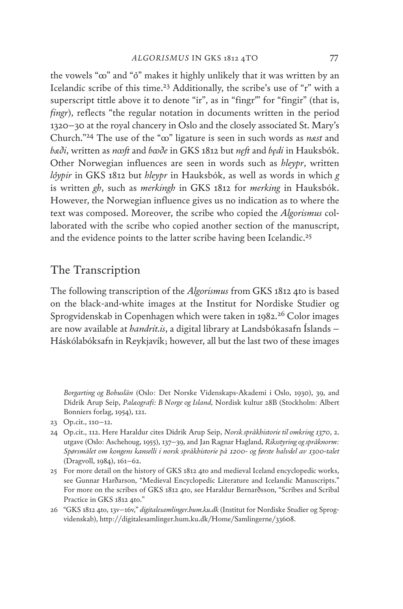the vowels " $\infty$ " and " $\delta$ " makes it highly unlikely that it was written by an Icelandic scribe of this time.23 Additionally, the scribe's use of "r" with a superscript tittle above it to denote "ir", as in "fingr"" for "fingir" (that is, *fingr*), reflects "the regular notation in documents written in the period 1320–30 at the royal chancery in Oslo and the closely associated St. Mary's Church."<sup>24</sup> The use of the "∞" ligature is seen in such words as *nast* and *bæði*, written as *nꝏſt* and *bꝏðe* in GKS 1812 but *nęſt* and *będi* in Hauksbók. Other Norwegian influences are seen in words such as *hleypr*, written *lypir* in GKS 1812 but *hleypr* in Hauksbók, as well as words in which *g* is written *gh*, such as *merkingh* in GKS 1812 for *merking* in Hauksbók. However, the Norwegian influence gives us no indication as to where the text was composed. Moreover, the scribe who copied the *Algorismus* collaborated with the scribe who copied another section of the manuscript, and the evidence points to the latter scribe having been Icelandic.<sup>25</sup>

# The Transcription

The following transcription of the *Algorismus* from GKS 1812 4to is based on the black-and-white images at the Institut for Nordiske Studier og Sprogvidenskab in Copenhagen which were taken in 1982.<sup>26</sup> Color images are now available at *handrit.is*, a digital library at Landsbókasafn Íslands – Háskólabóksafn in Reykjavík; however, all but the last two of these images

*Borgarting og Bohuslän* (Oslo: Det Norske Videnskaps-Akademi i Oslo, 1930), 39, and Didrik Arup Seip, *Palæografi: B Norge og Island*, Nordisk kultur 28B (Stockholm: Albert Bonniers forlag, 1954), 121.

- 24 Op.cit., 112. Here Haraldur cites Didrik Arup Seip, *Norsk språkhistorie til omkring 1370*, 2. utgave (Oslo: Aschehoug, 1955), 137–39, and Jan Ragnar Hagland, *Riksstyring og språknorm: Spørsmålet om kongens kanselli i norsk språkhistorie på 1200- og første halvdel av 1300-talet* (Dragvoll, 1984), 161–62.
- 25 For more detail on the history of GKS 1812 4to and medieval Iceland encyclopedic works, see Gunnar Harðarson, "Medieval Encyclopedic Literature and Icelandic Manuscripts." For more on the scribes of GKS 1812 4to, see Haraldur Bernarðsson, "Scribes and Scribal Practice in GKS 1812 4to."
- 26 "GKS 1812 4to, 13v–16v," *digitalesamlinger.hum.ku.dk* (Institut for Nordiske Studier og Sprogvidenskab), http://digitalesamlinger.hum.ku.dk/Home/Samlingerne/33608.

<sup>23</sup> Op.cit., 110–12.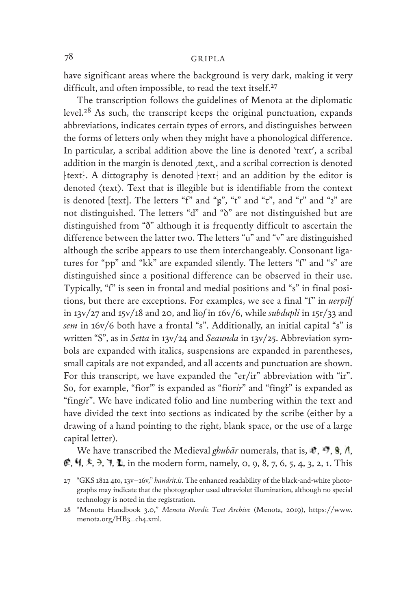have significant areas where the background is very dark, making it very difficult, and often impossible, to read the text itself.<sup>27</sup>

The transcription follows the guidelines of Menota at the diplomatic level.28 As such, the transcript keeps the original punctuation, expands abbreviations, indicates certain types of errors, and distinguishes between the forms of letters only when they might have a phonological difference. In particular, a scribal addition above the line is denoted 'text', a scribal addition in the margin is denoted , text,, and a scribal correction is denoted  $\text{text}$ . A dittography is denoted  $\text{text}$  and an addition by the editor is denoted (text). Text that is illegible but is identifiable from the context is denoted [text]. The letters "f" and " $\beta$ ", "t" and " $\tau$ ", and "r" and "z" are not distinguished. The letters "d" and "ò" are not distinguished but are distinguished from "ð" although it is frequently difficult to ascertain the difference between the latter two. The letters "u" and "v" are distinguished although the scribe appears to use them interchangeably. Consonant ligatures for "pp" and "kk" are expanded silently. The letters "ſ" and "s" are distinguished since a positional difference can be observed in their use. Typically, "ſ" is seen in frontal and medial positions and "s" in final positions, but there are exceptions. For examples, we see a final "ſ" in *uerpilſ* in 13v/27 and 15v/18 and 20, and lio*ſ* in 16v/6, while *subdupli* in 15r/33 and *sem* in 16v/6 both have a frontal "s". Additionally, an initial capital "s" is written "S", as in *Setta* in 13v/24 and *Seaunda* in 13v/25. Abbreviation symbols are expanded with italics, suspensions are expanded in parentheses, small capitals are not expanded, and all accents and punctuation are shown. For this transcript, we have expanded the "er/ir" abbreviation with "ir". So, for example, "fior" is expanded as "fiorir" and "fingt" is expanded as "fing*i*r". We have indicated folio and line numbering within the text and have divided the text into sections as indicated by the scribe (either by a drawing of a hand pointing to the right, blank space, or the use of a large capital letter).

We have transcribed the Medieval *ghubār* numerals, that is,  $\mathcal{F}, \mathcal{F}, \mathbf{9}, \Lambda$ ,  $\mathcal{F}, \mathcal{H}, \mathcal{F}, \mathcal{H}, \mathcal{H}$ , in the modern form, namely, 0, 9, 8, 7, 6, 5, 4, 3, 2, 1. This

<sup>27</sup> "GKS 1812 4to, 13v–16v," *handrit.is*. The enhanced readability of the black-and-white photographs may indicate that the photographer used ultraviolet illumination, although no special technology is noted in the registration.

<sup>28</sup> "Menota Handbook 3.0," *Menota Nordic Text Archive* (Menota, 2019), https://www. menota.org/HB3\_ch4.xml.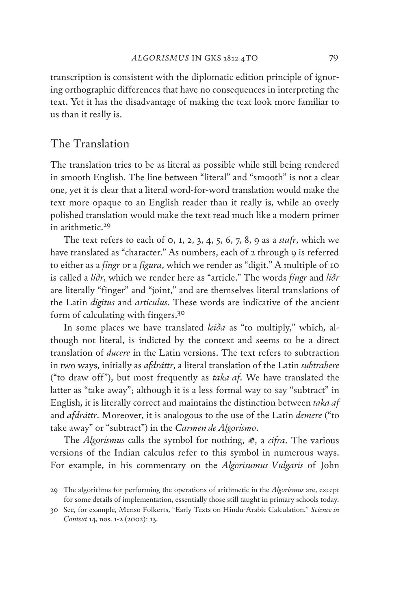transcription is consistent with the diplomatic edition principle of ignoring orthographic differences that have no consequences in interpreting the text. Yet it has the disadvantage of making the text look more familiar to us than it really is.

# The Translation

The translation tries to be as literal as possible while still being rendered in smooth English. The line between "literal" and "smooth" is not a clear one, yet it is clear that a literal word-for-word translation would make the text more opaque to an English reader than it really is, while an overly polished translation would make the text read much like a modern primer in arithmetic.<sup>29</sup>

The text refers to each of 0, 1, 2, 3, 4, 5, 6, 7, 8, 9 as a *stafr*, which we have translated as "character." As numbers, each of 2 through 9 is referred to either as a *fingr* or a *figura*, which we render as "digit." A multiple of 10 is called a *liðr*, which we render here as "article." The words *fingr* and *liðr* are literally "finger" and "joint," and are themselves literal translations of the Latin *digitus* and *articulus*. These words are indicative of the ancient form of calculating with fingers.30

In some places we have translated *leiða* as "to multiply," which, although not literal, is indicted by the context and seems to be a direct translation of *ducere* in the Latin versions. The text refers to subtraction in two ways, initially as *afdráttr*, a literal translation of the Latin *subtrahere* ("to draw off"), but most frequently as *taka af*. We have translated the latter as "take away"; although it is a less formal way to say "subtract" in English, it is literally correct and maintains the distinction between *taka af* and *afdráttr*. Moreover, it is analogous to the use of the Latin *demere* ("to take away" or "subtract") in the *Carmen de Algorismo*.

The *Algorismus* calls the symbol for nothing,  $\mathcal{F}$ , a *cifra*. The various versions of the Indian calculus refer to this symbol in numerous ways. For example, in his commentary on the *Algorisumus Vulgaris* of John

<sup>29</sup> The algorithms for performing the operations of arithmetic in the *Algorismus* are, except for some details of implementation, essentially those still taught in primary schools today.

<sup>30</sup> See, for example, Menso Folkerts, "Early Texts on Hindu-Arabic Calculation." *Science in Context* 14, nos. 1-2 (2002): 13.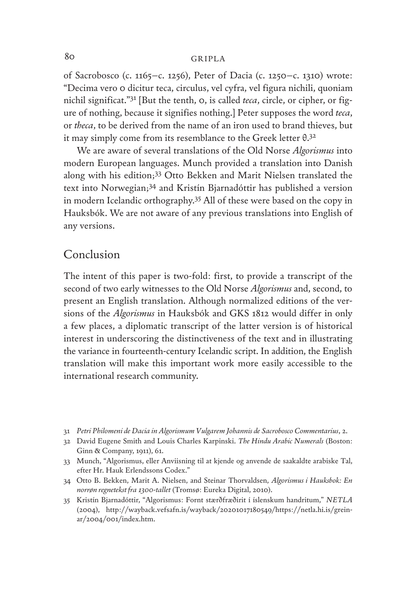of Sacrobosco (c. 1165–c. 1256), Peter of Dacia (c. 1250–c. 1310) wrote: "Decima vero 0 dicitur teca, circulus, vel cyfra, vel figura nichili, quoniam nichil significat."31 [But the tenth, 0, is called *teca*, circle, or cipher, or figure of nothing, because it signifies nothing.] Peter supposes the word *teca*, or *theca*, to be derived from the name of an iron used to brand thieves, but it may simply come from its resemblance to the Greek letter  $\theta$ .<sup>32</sup>

We are aware of several translations of the Old Norse *Algorismus* into modern European languages. Munch provided a translation into Danish along with his edition;33 Otto Bekken and Marit Nielsen translated the text into Norwegian;34 and Kristín Bjarnadóttir has published a version in modern Icelandic orthography.35 All of these were based on the copy in Hauksbók. We are not aware of any previous translations into English of any versions.

# Conclusion

The intent of this paper is two-fold: first, to provide a transcript of the second of two early witnesses to the Old Norse *Algorismus* and, second, to present an English translation. Although normalized editions of the versions of the *Algorismus* in Hauksbók and GKS 1812 would differ in only a few places, a diplomatic transcript of the latter version is of historical interest in underscoring the distinctiveness of the text and in illustrating the variance in fourteenth-century Icelandic script. In addition, the English translation will make this important work more easily accessible to the international research community.

- 31 *Petri Philomeni de Dacia in Algorismum Vulgarem Johannis de Sacrobosco Commentarius*, 2.
- 32 David Eugene Smith and Louis Charles Karpinski. *The Hindu Arabic Numerals* (Boston: Ginn & Company, 1911), 61.
- 33 Munch, "Algorismus, eller Anviisning til at kjende og anvende de saakaldte arabiske Tal, efter Hr. Hauk Erlendssons Codex."
- 34 Otto B. Bekken, Marit A. Nielsen, and Steinar Thorvaldsen, *Algorismus i Hauksbok: En norrøn regnetekst fra 1300-tallet* (Tromsø: Eureka Digital, 2010).
- 35 Kristín Bjarnadóttir, "Algorismus: Fornt stærðfræðirit í íslenskum handritum," *NETLA* (2004), http://wayback.vefsafn.is/wayback/20201017180549/https://netla.hi.is/greinar/2004/001/index.htm.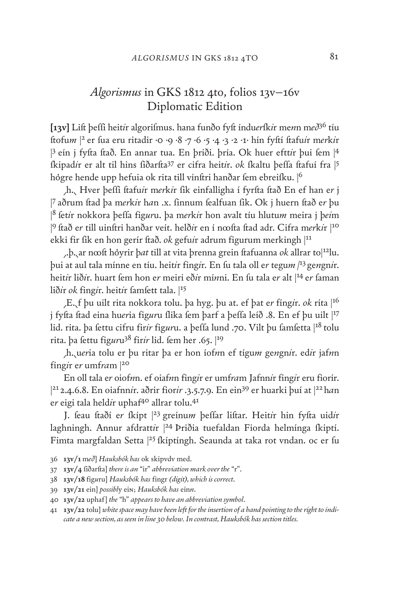# *Algorismus* in GKS 1812 4to, folios 13v–16v Diplomatic Edition

**[13v]** Liſt þeſſi heit*i*r algoriſmus. hana funðo fyſt índu*er*ſk*i*r me*n*n m*eð*36 tíu ſtofu*m* |2 er ſua eru ritadir *·*0 *·*9 *·*8 *·*7 *·*6 *·*5 *·*4 *·*3 *·*2 *·*1*·* hín fyſtí ſtafu*i*r m*er*k*i*r <sup>3</sup> eín j fyfta ftað. En annar tua. En þriði. þría. Ok huer eftt*ir* þui fem  $|4$ ſkipad*i*r er alt til hins ſiðarſta37 er cifra heit*i*r. *ok* ſkaltu þeſſa ſtafuí fra |<sup>5</sup> hógre hende upp hefuia ok rita till vínftri hanðar fem ebreifku. |<sup>6</sup>

⸝h.⸜ Hver þeſſi ſtafu*i*r m*er*k*i*r ſik einfalligha í fyrſta ſtað En ef han e*r* j | <sup>7</sup>aðrum ſtad þa m*er*k*i*r h*a*n .x. ſinnum ſealfuan ſik. Ok j huern ſtað e*r* þu | <sup>8</sup>ſet*i*r nokkora þeſſa fig*ur*u. þa m*er*k*i*r hon avalt tíu hlutu*m* meira j þ*ei*m | <sup>9</sup>ſtað e*r* till uinſtri hanðar veít. helð*i*r en í nꝏſta ſtad adr. Cifra m*er*k*i*r |<sup>10</sup> ekki fir fik en hon gerír ftað. *ok* gefu*ir* adrum figurum merkingh |<sup>11</sup>

⸝.þ.⸜ar nꝏſt hyrir þ*at* till at vita þrenna grein ſtafuanna *ok* allrar to|12lu. þui at aul tala mínne en tíu. heit*i*r fing*i*r. En ſu tala oll e*r* tegu*m |*<sup>13</sup> ge*n*gn*i*r. heit*ir* lið*ir*. huart fem hon e*r* meiri eð*ir mínni*. En fu tala e*r* alt |<sup>14</sup> er faman lið*ir ok* fing*ir*. heit*ir* famfett tala. |<sup>15</sup>

⸝E.⸜f þu uilt rita nokkora tolu. þa hyg. þu at. ef þat e*r* fíng*i*r. *ok* ríta |<sup>16</sup> j fyfta ftad eina hueria figuru flika fem þarf a þeffa leíð .8. En ef þu uilt |<sup>17</sup> lid. rita. þa fettu cifru firir figuru. a þeffa lund .70. Vilt þu famfetta |<sup>18</sup> tolu rita. þa fettu figuru<sup>38</sup> firir lid. fem her .65. <sup>[19</sup>]

⸝h.⸜u*er*ia tolu er þu ritar þa er hon íof*n*n ef tígu*m* ge*n*gn*i*r. ed*i*r jaf*n*n fíng*i*r e*r* umf*ra*m |<sup>20</sup>

En oll tala e*r* oiof*n*n. ef oiaf*n*n fing*i*r er umf*ra*m Jafnn*i*r fing*i*r eru fiorír. | <sup>21</sup> 2.4.6.8. En oiafnn*i*r. aðrir fior*ir* .3.5.7.9. En ein39 er huarki þuí at |22 h*a*n e*r* eigi tala held*i*r uphaf40 allrar tolu.41

J. ſeau ſtaðí e*r* ſkípt |<sup>23</sup> greínu*m* þeſſar liſtar. Heit*i*r hin fyſta uid*i*r laghningh. Annur afdratt*i*r |<sup>24</sup> Þriðia tuefaldan Fiorda helmínga ſkiptí. Fimta margfaldan Setta |<sup>25</sup> fkíptíngh. Seaunda at taka rot vndan. oc er fu

<sup>36</sup> **13v/1** m*eð*] *Hauksbók has* ok skipvdv med.

<sup>37</sup> **13v/4** ſiðarſta] *there is an* "ir" *abbreviation mark over the* "r".

<sup>38</sup> **13v/18** fig*u*ru] *Hauksbók has* fingr *(digit), which is correct*.

<sup>39</sup> **13v/21** ein] *possibl*y eiɴ; *Hauksbók has* ein*n*.

<sup>40</sup> **13v/22** uphaf] *the* "h" *appears to have an abbreviation symbol*.

<sup>41</sup> **13v/22** tolu] *white space may have been left for the insertion of a hand pointing to the right to indicate a new section, as seen in line 30 below. In contrast, Hauksbók has section titles.*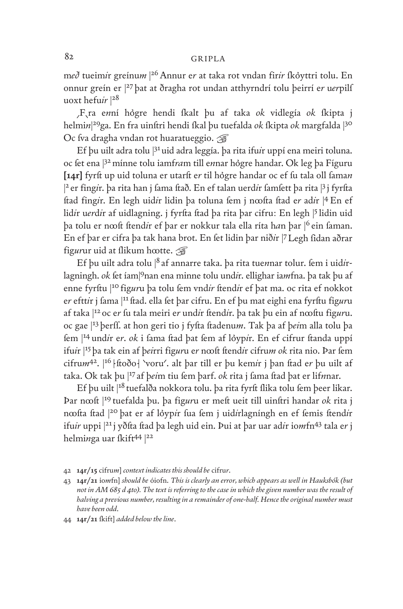m*eð* tueim*i*r greínu*m* | 26Annur e*r* at taka rot vndan fir*ir* ſkyttri tolu. En onnur greín er |<sup>27</sup> þat at ðragha rot undan atthyrndrí tolu þeirrí e*r* u*er*pilſ uoxt hefu*ir* |<sup>28</sup>

⸝F⸜ra e*n*ní hgre hendi ſkalt þu af taka *ok* vidlegía *ok* ſkipta j helmi*n*| <sup>29</sup>ga. En fra uinſtri hendi ſkal þu tuefalda *ok* ſkipta *ok* margfalda |<sup>30</sup> Oc fva dragha vndan rot huaratueggio. ☞

Ef þu uilt adra tolu |<sup>31</sup> uid adra leggía. þa rita ifu*i*r uppí ena meiri toluna. oc fet ena  $32$  mínne tolu iamfram till ennar høgre handar. Ok leg þa Fíguru **[14r]** fyrſt up uid toluna er utarſt e*r* til hgre handar oc ef ſu tala oll ſama*n*  | <sup>2</sup> er fing*i*r. þa rita han j ſama ſtað. En ef talan uerd*i*r ſamſett þa rita |<sup>3</sup> j fyrſta ſtad fing*i*r. En legh uid*i*r lidin þa toluna ſem j nꝏſta ſtad e*r* ad*i*r |<sup>4</sup> En ef lidir uerdir af uidlagning. j fyrfta ftad þa rita þar cifru: En legh |5 lidin uid þa tolu er nꝏſt ſtend*i*r ef þar er nokkur tala ella ríta h*a*n þar |<sup>6</sup> ein ſaman. En ef þar er cifra þa tak hana brot. En ſet lidin þar nið*i*r |7Legh ſidan aðrar figurur uid at flikum h∞tte. <del></del>

Ef þu uilt adra tolu |<sup>8</sup> af annarre taka. þa rita tuennar tolur. fem i uidirlagningh. *ok* fet íam|9nan ena minne tolu undir. ellighar iamfna. þa tak þu af enne fyrftu |<sup>10</sup> figuru þa tolu fem vndir ftendir ef þat ma. oc rita ef nokkot er efttir j fama |<sup>11</sup> ftad. ella fet þar cifru. En ef þu mat eighi ena fyrftu figuru af taka |<sup>12</sup> oc e*r* ſu tala meiri e*r* und*i*r ſtend*i*r. þa tak þu ein af nꝏſtu fig*ur*u. oc gae |<sup>13</sup> þerſſ. at hon geri tio j fyſta ſtadenu*m*. Tak þa af þ*ei*m alla tolu þa ſem |<sup>14</sup> und*i*r e*r*. *ok* i ſama ſtad þat ſem af lyp*i*r. En ef cifrur ſtanda uppí ifu*i*r |15 þa tak ein af þ*ei*rri fig*ur*u e*r* nꝏſt ſtend*i*r cifru*m ok* rita nio. Þar ſem cifrum<sup>42</sup>. |<sup>16</sup> | ftoðo | 'voru'. alt þar till er þu kem*i*r j þan ftad er þu uilt af taka. Ok tak þu |<sup>17</sup> af þ*ei*m tiu ſem þarf. *ok* rita j ſama ſtad þat er lif*n*nar.

Ef þu uilt |<sup>18</sup> tuefalða nokkora tolu. þa rita fyrft flika tolu fem þeer likar. Þar nꝏſt |<sup>19</sup> tuefalda þu. þa fig*ur*u er meſt ueit till uinſtri handar *ok* rita j ncofta ftad |<sup>20</sup> þat er af løypir fua fem j uidirlagníngh en ef femis ftendir ifu*ir* uppi |21j yðſta ſtad þa legh uid ein. Þui at þar uar ad*i*r io*m*fn43 tala e*r* j helminga uar fkift<sup>44</sup> |<sup>22</sup>

<sup>42</sup> **14r/15** cifru*m*] *context indicates this should be* cifru*r*.

<sup>43</sup> **14r/21** io*m*fn] *should be* óiofn. *This is clearly an error, which appears as well in Hauksbók (but not in AM 685 d 4to). The text is referring to the case in which the given number was the result of halving a previous number, resulting in a remainder of one-half. Hence the original number must have been odd*.

<sup>44</sup> **14r/21** ſkift] *added below the line*.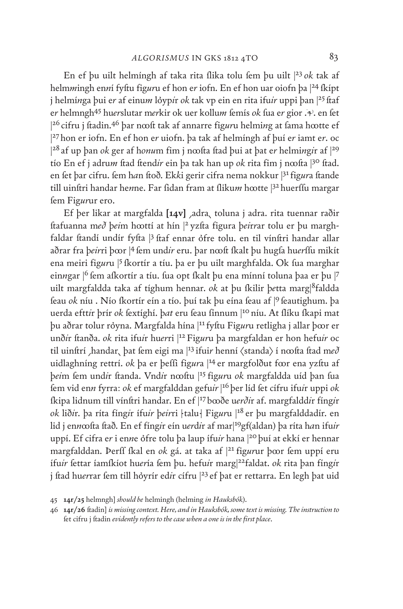En ef þu uilt helmíngh af taka rita flika tolu fem þu uilt |<sup>23</sup> ok tak af helm*m*ingh en*n*í fyſtu fig*ur*u ef hon e*r* iofn. En ef hon uar oiofn þa |24 ſkípt j helmínga þui er af einum lóypir ok tak vp ein en rita ifuir uppi þan  $|^{25}$ ftaf er helmngh<sup>45</sup> huerslutar merkir ok uer kollum femís ok fua er gior . . . en fet |<sup>26</sup> cifru j ftadin.<sup>46</sup> þar n∞ft tak af annarre fig*ur*u helmi*n*g at fama h∞tte ef | <sup>27</sup> hon er iofn. En ef hon e*r* uiofn. þa tak af helmíngh af þuí e*r* iamt e*r*. oc  $|^{28}$ af up þan *ok* ger af h*onu*m fim j n∞fta ftad þui at þat e*r* helmi*n*g*i*r af  $|^{29}$ tío En ef j adrum ftad ftendir ein þa tak han up *ok* rita fim j n∞fta |<sup>30</sup> ftad. en fet þar cifru. fem h*a*n ftoð. Ekki gerir cifra nema nokkur |<sup>31</sup> fig*ur*a ftande till uinftri handar henne. Far fidan fram at flikum h∞tte |<sup>32</sup> huerffu margar ſem Fig*ur*ur ero.

Ef þer likar at margfalda [14v] ,adra, toluna j adra. rita tuennar raðir ſtafuanna m*eð* þ*ei*m hꝏttí at hín |<sup>2</sup> yzſta figura þ*ei*r*r*ar tolu er þu marghfaldar ftandí undír fyfta |<sup>3</sup> ftaf ennar ôfre tolu. en til vínftri handar allar aðrar fra þeirri þ∞r |<sup>4</sup> fem undir eru. þar n∞ft íkalt þu hugfa huerffu mikít ena meiri figuru |<sup>5</sup> fkortír a tíu. þa er þu uilt marghfalda. Ok fua marghar einngar <sup>|6</sup> fem afkortír a tíu. fua opt fkalt þu ena mínní toluna þaa er þu |7 uilt margfaldda taka af tíghum hennar. *ok* at þu ſkilir þ*e*tta marg|8faldda feau ok níu . Nío fkortír eín a tío. þuí tak þu eína feau af <sup>|9</sup> feautighum. þa uerda eftt*ir þrír ok fextíghí*. *þat* eru feau fínnum |<sup>10</sup> níu. At flíku fkapi mat þu aðrar tolur ryna. Margfalda hína |11fyſtu Fig*ur*u retligha j allar þꝏr er unð*i*r ſtanða. *ok* rita ifu*i*r hu*er*ri |<sup>12</sup> Fig*ur*u þa margfaldan er hon hefu*ir* oc til uinftrí ,handar, þat fem eigi ma |<sup>13</sup> ifuir henní  $\langle$ standa $\rangle$  í n $\infty$ fta ftad með uidlaghníng rettrí. *ok* þa er þeffi figura |<sup>14</sup> er margfolðut f∞r ena yzftu af þ*ei*m ſem und*i*r ſtanda. Vnd*i*r nꝏſtu |<sup>15</sup> fig*ur*u *ok* margfaldda uíd þan ſua ſem vid en*n* fyrra: *ok* ef margfalddan gefu*ir* | <sup>16</sup> þer líd ſet cífru ifu*i*r uppi *ok* ſkipa lidnum till vínſtri handar. En ef |<sup>17</sup> bꝏðe u*erði*r af. margfaldd*i*r fíng*i*r *ok* lið*i*r. þa ríta fíng*i*r ífu*ir* þ*eir*ri talu Fig*ur*u |<sup>18</sup> er þu margfalddadír. en lid j en*n*ꝏſta ſtað. En ef fíng*i*r eín u*er*d*i*r af mar|19gf(aldan) þa ríta h*a*n ifu*ir* uppí. Ef cifra e*r* i en*n*e fre tolu þa laup ífu*ir* hana |<sup>20</sup> þuí at ekkí er hennar margfalddan. Þerff fkal en ok gá. at taka af |<sup>21</sup> figurur þ∞r fem uppí eru ífu*ir* ſettar íamſkíot hu*er*ía ſem þu. hefu*i*r marg|22faldat. *ok* rita þan fíng*i*r j ftad huerrar fem till høyrír ed*ir* cífru |<sup>23</sup> ef þat er rettarra. En legh þat uid

<sup>45</sup> **14r/25** helmngh] *should be* helmingh (helming *in Hauksbók*).

<sup>46</sup> **14r/26** ſtadin] *is missing context. Here, and in Hauksbók, some text is missing. The instruction to* fet cifru j ftadin *evidently refers to the case when a one is in the first place*.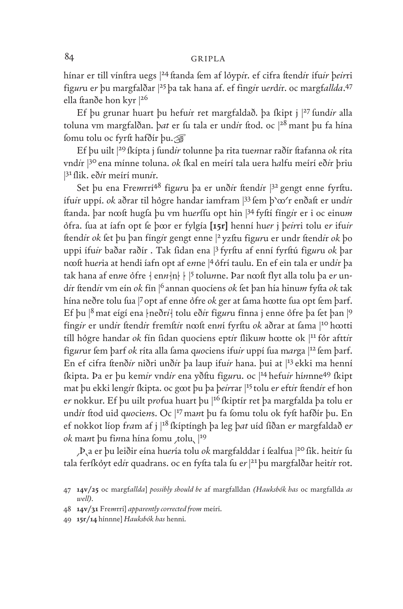hínar er till vínftra uegs |<sup>24</sup> ftanda fem af løypir. ef cifra ftendir ífuir þeirri fig*ur*u e*r* þu margfalðar |<sup>25</sup> þa tak hana af. ef fing*i*r u*er*d*i*r. oc margf*allda*. 47 ella ftanðe hon kyr |26

Ef þu grunar huart þu hefu*i*r ret margfaldað. þa ſkipt j |<sup>27</sup> ſund*ir* alla toluna vm margfalðan. þat er fu tala er undir ftod. oc |<sup>28</sup> mant þu fa hína ſomu tolu oc fyrſt hafðír þu.☞

Ef þu uilt |<sup>29</sup> ſkípta j ſund*ir* tolunne þa rita tue*n*nar raðír ſtafanna *ok* ríta vnd*i*r |<sup>30</sup> ena mínne toluna. *ok* ſkal en meírí tala uera h*a*lfu meírí eð*i*r þriu <sup>31</sup> flik. eð*ir* meírí munir.

Set þu ena Fremrrí<sup>48</sup> figuru þa er unð*ir* ftendir  $3^2$  gengt enne fyrftu. ífu*i*r uppí. *ok* aðrar til hgre handar iamfram |<sup>33</sup> ſem þ⸌ꝏ⸍r enðaſt er und*i*r ſtanda. þar nꝏſt hugſa þu vm hu*er*ſſu opt hin |<sup>34</sup> fyſtí fíng*i*r er i oc einu*m* fra. ſua at íafn opt ſe þꝏr er fylgía **[15r]** henní hu*er* j þ*eir*ri tolu e*r* ifu*ir* ſtend*i*r *ok* ſet þu þan fíng*i*r gengt enne |<sup>2</sup> yzſtu fig*ur*u er undr ſtend*i*r *ok* þo uppi ífu*ir* baðar raðír . Tak ſidan ena |<sup>3</sup> fyrſtu af enní fyrſtú fig*ur*u *ok* þar nooft hueria at hendi íafn opt af enne |4 ôfrí taulu. En ef ein tala er undir þa tak hana af en*n*e ofre  $\{ \text{en} n \} | \cdot | 5 \text{tolunne.}$  Þar nœft flyt alla tolu þa er und*i*r ſtend*i*r vm eín *ok* fín |<sup>6</sup> annan quocíens *ok* ſet þan hía hinu*m* fyſta *ok* tak hína neðre tolu fua |7 opt af enne ófre *ok* ger at fama h∞tte fua opt fem þarf. Ef þu  $|8$  mat eígí ena | neðr*i* | tolu eð*ir figuru fínna j enne ófre þa fet þan*  $|9$ fíngir er undir ftendir fremftir nooft enní fyrftu ok aðrar at fama |<sup>10</sup> hootti tíll hógre handar ok fín fidan quociens eptir flikum h∞tte ok |<sup>11</sup> fór afttir figurur fem þarf *ok* ríta alla fama quociens ifuir uppí fua marga |<sup>12</sup> fem þarf. En ef cifra ftenð*ir* niðri unð*ir* þa laup ifu*ir* hana. Þui at <sup>[13</sup> ekki ma henní ſkipta. Þa er þu kem*ir* vnd*ir* ena yðſtu fig*ur*u. oc |14 hefu*ir* hí*n*nne49 ſkipt mat þu ekki leng*i*r ſkipta. oc gꝏt þu þa þ*eir*rar |<sup>15</sup> tolu e*r* eft*i*r ſtend*i*r ef hon e*r* nokkur. Ef þu uilt p*ro*fua huart þu |<sup>16</sup> ſkiptír ret þa margfalda þa tolu er undir ftod uid quociens. Oc |<sup>17</sup> mant þu fa fomu tolu ok fyft hafðir þu. En ef nokkot líop f*ra*m af j |18 ſkíptíngh þa leg þ*at* uíd ſíðan e*r* margfaldað e*r ok* mant þu finna hína fomu tolu,  $|^{19}$ 

⸝Þ⸜a er þu leiðir eína hu*er*ía tolu *ok* margfalddar í ſealfua |<sup>20</sup> ſik. heit*i*r ſu tala ferſkyt ed*i*r quadrans. oc en fyſta tala ſu e*r* | <sup>21</sup> þu margfalðar heit*i*r rot.

<sup>47</sup> **14v/25** oc margf*allda*] *possibly should be* af margfalldan *(Hauksbók has* oc margfallda *as well)*.

<sup>48</sup> **14v/31** Fre*m*rrí] *apparently corrected from* meírí.

<sup>49</sup> **15r/14** hínnne] *Hauksbók has* henni.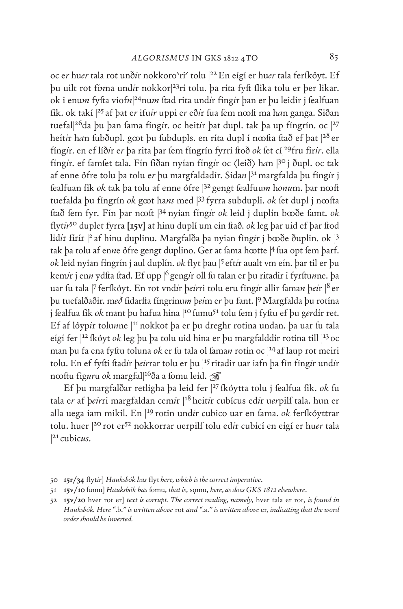oc er huer tala rot unðir nokkoro`ri' tolu |<sup>22</sup> En eígí er huer tala ferſkỏyt. Ef þu uilt rot fí*n*na und*i*r nokkor|23rí tolu. þa ríta fyſt ſlika tolu er þer likar. ok i enu*m* fyſta víof*n*| 24nu*m* ſtad rita und*i*r fing*i*r þan er þu leidír j ſealfuan ſik. ok takí |<sup>25</sup> af þat e*r* ifu*ir* uppi e*r* eð*i*r ſua ſem nꝏſt ma h*a*n ganga. Siðan tuefal|<sup>26</sup>da þu þan fama fíng*i*r. oc heit*ir* þat dupl. tak þa up fíngrín. oc |<sup>27</sup> heít*ir han fubðupl. goot þu fubdupls. en ríta dupl í noofta ftað ef þat |<sup>28</sup> er* fíngir. en ef líðir er þa rita þar fem fíngrín fyrrí ftoð *ok* fet cí $|^{29}$ fru firir. ella fíngir. ef famfet tala. Fín fiðan nyían fíngir oc  $\langle$ leið $\rangle$  han  $|3^{\circ}$  j ðupl. oc tak af enne fre tolu þa tolu e*r* þu margfaldadír. Sida*n* | 31margfalda þu fíng*i*r j fealfuan fik *ok* tak þa tolu af enne ófre |<sup>32</sup> gengt fealfuum honum. þar n∞ft tuefalda þu fíngrín *ok* g∞t hans med |<sup>33</sup> fyrra subdupli. *ok* fet dupl j n∞fta ſtað ſem fyr. Fín þar nꝏſt |<sup>34</sup> nyian fíng*i*r *ok* leid j duplín bꝏðe ſamt. *ok* flyt*ir*50 duplet fyrra **[15v]** at hinu duplí um eín ſtað. *ok* leg þar uid ef þar ſtod lid*i*r fírír |<sup>2</sup> af hinu duplinu. Margfalða þa nyian fíng*i*r j bꝏðe ðuplin. ok |<sup>3</sup> tak þa tolu af enne ófre gengt duplino. Ger at fama h∞tte |4 fua opt fem þarf. *ok* leid nyian fíngrín j aul duplín. *ok* flyt þau |<sup>5</sup> eft*i*r aualt vm eín. þar til er þu kem*i*r j en*n* ydfta ftad. Ef upp |<sup>6</sup> geng*i*r oll fu talan er þu ritadir i fyrftu*n*ne. þa uar fu tala |7 ferfkøyt. En rot vnd*ir þeirri tolu eru fingir allir faman þeir* |<sup>8</sup> er þu tuefalðaðir. m*eð* ſidarſta fíngrinu*m* þ*ei*m e*r* þu fant. |9Margfalda þu rotína j fealfua fik *ok* mant þu hafua hina |<sup>10</sup> fumu<sup>51</sup> tolu fem j fyftu ef þu gerdír ret. Ef af løypir tolunne |<sup>11</sup> nokkot þa er þu dreghr rotina undan. þa uar fu tala eígí fer |<sup>12</sup> ſkyt *ok* leg þu þa tolu uid hina er þu margfalddír rotina till |13 oc man þu fa ena fyftu toluna *ok* er fu tala ol faman rotín oc |<sup>14</sup> af laup rot meiri tolu. En ef fyſti ſtad*i*r þ*eir*rar tolu er þu |<sup>15</sup> ritadir uar iafn þa fín fíng*i*r und*i*r n∞ftu fig*ur*u ok margfal|<sup>16</sup>ða a fomu leid. ☞

Ef þu margfalðar retligha þa leid fer |17 ſkytta tolu j ſealfua ſik. *ok* ſu tala e*r* af þ*eir*ri margfaldan cem*i*r |<sup>18</sup> heit*i*r cubícus ed*i*r u*er*pilſ tala. hun er alla uega íam mikil. En <sup>119</sup> rotin und*i*r cubico uar en fama. ok ferfkøyttrar tolu. huer |<sup>20</sup> rot er52 nokkorrar uerpilſ tolu ed*i*r cubící en eígí er hu*er* tala | 21cubic*us*.

<sup>50</sup> **15r/34** flyt*ir*] *Hauksbók has* flyt *here, which is the correct imperative*.

<sup>51</sup> **15v/10** ſumu] *Hauksbók has* ſomu, *that is*, sǫmu, *here, as does GKS 1812 elsewhere*.

<sup>52</sup> **15v/20** hver rot er] *text is corrupt. The correct reading, namely,* hver tala er rot, *is found in Hauksbók. Here "*.b.*" is written above* rot *and "*.a.*" is written above* er*, indicating that the word order should be inverted.*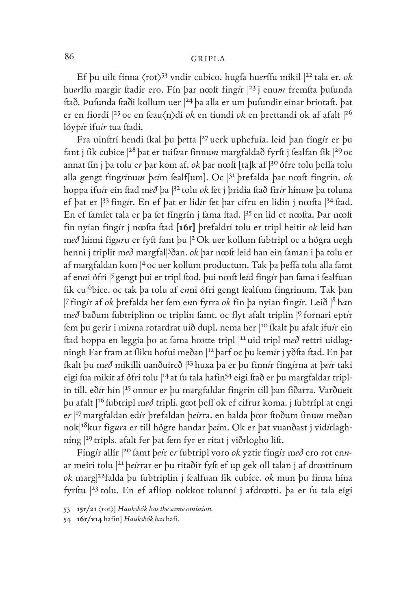Ef þu uilt finna  $\langle \text{rot} \rangle^{53}$  vndir cubíco. hugfa huerffu mikil |22 tala er. ok huerffu margir ftadír ero. Fín þar n∞ft fing*i*r |<sup>23</sup> j enum fremfta þufunda ſtað. Þuſunda ſtaði kollum uer |<sup>24</sup> þa alla er um þuſundir eínar bríotaſt. þat er en fiordí |<sup>25</sup> oc en feau $\langle n \rangle$ dí *ok* en tiundí *ok* en þrettandí ok af afalt |<sup>26</sup> lóypir ifuir tua ftadi.

Fra uinſtrí hendi ſkal þu þ*e*tta |<sup>27</sup> uerk uphefuía. leid þan fíng*i*r er þu fant j fik cubice | <sup>28</sup> þat er tuifvar finnum margfaldað fyrft j fealfan fik | <sup>29</sup> oc annat fín j þa tolu er þar kom af. *ok* þar nœft [ta]k af <sup>[30</sup> ófre tolu þeffa tolu alla gengt fíngrinum þeim fealf[um]. Oc |<sup>31</sup> þrefalda þar n∞ft fíngrín. ok hoppa ifu*i*r eín ſtad m*eð* þa |<sup>32</sup> tolu *ok* ſet j þridía ſtað fir*ir* hínu*m* þa toluna ef þat er  $|^{33}$  fíng*i*r. En ef þat er lid*ir* fet þar cífru en lidín j n∞fta  $|^{34}$  ftad. En ef famfet tala er þa fet fíngrín j fama ftad. <sup>[35</sup> en líd et n∞fta. Þar n∞ft fín nyían fíng*i*r j nꝏſta ſtad **[16r]** þrefaldrí tolu er tripl heitir *ok* leid h*a*n með hinni figuru er fyft fant þu |<sup>2</sup> Ok uer kollum fubtripl oc a hógra uegh henni j triplit með margfal<sup>[3</sup>ðan. ok þar nœft leid han ein faman i þa tolu er af margfaldan kom |<sup>4</sup> oc uer kollum productum. Tak þa þeſſa tolu alla ſamt af enni ófrí <sup>5</sup> gengt þui er tripl ftod. þui nœft leid fingir þan fama i fealfuan fik cu|<sup>6</sup>bice. oc tak þa tolu af enni ófri gengt fealfum fingrinum. Tak þan | <sup>7</sup> fing*i*r af *ok* þrefalda her ſem e*n*n fyrra *ok* fin þa nyian fing*i*r. Leið |<sup>8</sup> h*a*n m*eð* baðum ſubtriplinn oc triplin ſamt. oc flyt afalt triplin |<sup>9</sup> fornari ept*i*r ſem þu gerir i mi*n*na rotardrat uið dupl. nema her |<sup>10</sup> ſkalt þu afalt ifu*i*r ein ftad hoppa en leggia þo at fama h∞tte tripl |<sup>11</sup> uid tripl með rettri uidlagningh Far fram at fliku hofui meðan |<sup>12</sup> þarf oc þu kem*ir* j yðfta ftad. En þat ſkalt þu m*eð* mikilli uanðuircð |<sup>13</sup> huxa þa er þu finn*i*r fing*i*rna at þ*ei*r taki eigi fua mikit af ófri tolu |<sup>14</sup> at fu tala hafin<sup>54</sup> eigi ftað er þu margfaldar triplin till. eð*i*r hín |15 onnur e*r* þu margfaldar fingrin till þan ſiðarra. Varðueit þu afalt |<sup>16</sup> ſubtripl m*eð* tripli. gꝏt þeſſ ok ef cifrur koma. j ſubtrípl at engi e*r* | <sup>17</sup> margfaldan ed*i*r þrefaldan þ*eir*ra. en halda þꝏr ſtoðum ſinu*m* meðan nok|18kur fig*ur*a er till hgre handar þ*ei*m. Ok er þat vuanðast j vid*i*rlaghníng |<sup>19</sup> tripls. afalt fer þat fem fyr er rítat j viðrlogho lift.

Fíngir allír |20 famt þeir er fubtripl voro ok yztir fíngir með ero rot ennar meirí tolu |<sup>21</sup> þeirrar er þu ritaðir fyft ef up gek oll talan j af dr∞ttinum *ok* marg|22falda þu ſubtriplin j ſealfuan ſik cubíce. *ok* mun þu finna hína fyrftu |23 tolu. En ef aflíop nokkot tolunní j afdrœtti. þa er fu tala eígi

<sup>53</sup> **15r/21**  $\langle \text{rot} \rangle$  *Hauksbók has the same omission.* 

<sup>54</sup> **16r/v14** hafin] *Hauksbók has* hafi.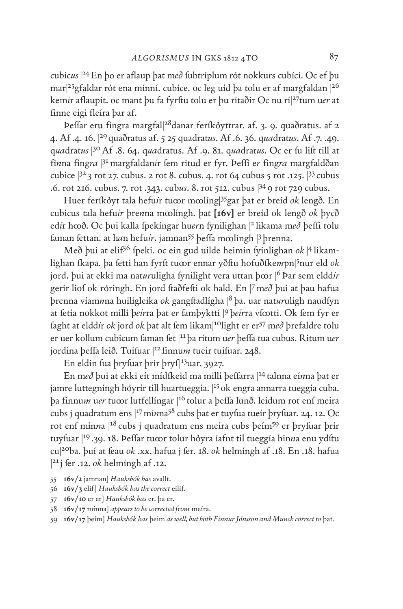cubíc*us* | 24En þo er aflaup þat m*eð* ſubtríplum rót nokkurs cubící. Oc ef þu mar|25gfaldar rót ena mínní. cubice. oc leg uíd þa tolu er af margfaldan |26 kem*i*r aflaupít. oc mant þu fa fyrſtu tolu er þu rítaðír Oc nu rí|27tum u*er* at finne eigi fleíra þar af.

Þeſſar eru fíngra margfal|28danar ferſkyttrar. af. 3. 9. quaðratus. af 2 4. Af .4. 16. |<sup>29</sup> quaðratus af. 5 25 quadrat*us*. Af .6. 36. q*ua*drat*us*. Af .7. .49. q*ua*drat*us* | 30Af .8. 64. q*ua*dratus. Af .9. 81. q*ua*drat*us*. Oc er ſu liſt till at fi*n*na fíng*ra* |<sup>31</sup> margfaldan*i*r fem ritud er fyr. Þeffi er fing*ra* margfaldðan cubice |<sup>32</sup> 3 rot 27. cubus. 2 rot 8. cubus. 4. rot 64 cubus 5 rot .125. |33 cubus .6. rot 216. cubus. 7. rot .343. cub*us*. 8. rot 512. cubus |34 9 rot 729 cubus.

Huer ferſkyt tala hefu*i*r tuꝏr mꝏlíng|35gar þat er breíd *ok* lengð. En cubicus tala hefu*ir* þre*n*na mꝏlíngh. þat **[16v]** er breíd ok lengð *ok* þycð ed*i*r hꝏð. Oc þui kalla ſpekíngar hu*er*n ſynilighan |<sup>2</sup> likama m*eð* þeſſi tolu faman fettan. at h*a*n hefuir. jamnan<sup>55</sup> þeffa m∞língh |<sup>3</sup> þrenna.

Með þui at elif56 ſpeki. oc ein gud uilde heimin ſyinlighan *ok* | <sup>4</sup> likamlighan <mark>fkapa. þa fetti han fyrft tu∞r ennar yðftu hofuð</mark>fke*m*pn|<sup>5</sup>nur eld *ok* jord. þui at ekki ma nat*ur*uligha ſynilight vera uttan þꝏr |<sup>6</sup> Þar sem eldd*ir* gerir liof ok rỏringh. En jord ftaðfefti ok hald. En |7 með þui at þau hafua þrenna víam*n*na huiligleika *ok* gangſtadlígha |<sup>8</sup> þa. uar nat*ur*uligh naudſyn at fetia nokkot milli þeirra þat er famþykttí |9 þeirra vf $\omega$ tti. Ok fem fyr er ſaght at eldd*i*r *ok* jord *ok* þat alt ſem likam|10light er er57 m*eð* þrefaldre tolu er uer kollum cubicum ſaman ſet |<sup>11</sup> þa ritum u*er* þeſſa tua cubus. Ritum u*er* jordina þeffa leið. Tuifuar |<sup>12</sup> finnum tueir tuifuar. 248.

En eldin fua þryfuar þrír þryf|<sup>13</sup>uar. 3927.

En m*eð* þui at ekki eít mídſkeid ma milli þeſſarra |<sup>14</sup> talnna eí*n*na þat er jamre luttegníngh hóyrír till huartueggia. <sup>[15</sup> ok engra annarra tueggia cuba. þa finnu*m* u*er* tuꝏr lutfellíngar |<sup>16</sup> tolur a þeſſa lunð. leidum rot enſ meira cubs j quadratum ens |17mí*n*na58 cubs þat er tuyſua tueír þryſuar. 24. 12. Oc rot enf minna |<sup>18</sup> cubs j quadratum ens meira cubs þeím<sup>59</sup> er þryfuar þrír tuyfuar <sup>[19</sup>.39. 18. Þeffar tu∞r tolur hỏyra íafnt til tueggía hinna enu ydftu cu|20ba. þuí at ſeau *ok* .xx. hafua j ſer. 18. *ok* helmíngh af .18. En .18. hafua <sup>21</sup>j fer .12. *ok* helmíngh af .12.

- 55 **16v/2** jamnan] *Hauksbók has* avallt.
- 56 **16v/3** elif] *Hauksbók has the correct* eilif.
- 57 **16v/10** er er] *Hauksbók has* er. þa er.
- 58 **16v/17** mínna] *appears to be corrected from* meíra.
- 59 **16v/17** þeím] *Hauksbók has* þeim *as well, but both Finnur Jónsson and Munch correct to* þat.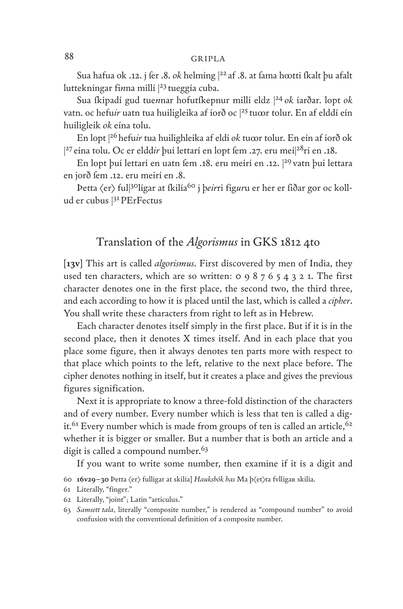Sua hafua ok .12. j fer .8. *ok* helmíng |<sup>22</sup> af .8. at fama h∞tti fkalt þu afalt luttekníngar finna millí <sup>[23</sup> tueggía cuba.

Sua ſkipadí gud tue*n*nar hofutſkepnur millí eldz |<sup>24</sup> *ok* íarðar. lopt *ok* vatn. oc hefuir uatn tua huiligleika af íorð oc |25 tu∞r tolur. En af elddí eín huiligleik *ok* eína tolu.

En lopt |26 hefu*ir* tua huilighleika af eldí *ok* tuꝏr tolur. En eín af íorð ok <sup>27</sup> eína tolu. Oc er eldd*ir* þuí lettarí en lopt fem .27. eru meí|<sup>28</sup>rí en .18.

En lopt þuí lettarí en uatn fem .18. eru meírí en .12. <sup>|29</sup> vatn þui lettara en jorð fem .12. eru meirí en .8.

Þetta <er> ful|30lígar at ſkilía60 j þ*eir*ri fig*ur*u er her er ſiðar gor oc kollud er cubus |31PErFectus

# Translation of the *Algorismus* in GKS 1812 4to

[**13v**] This art is called *algorismus*. First discovered by men of India, they used ten characters, which are so written: 0 9 8 7 6 5 4 3 2 1. The first character denotes one in the first place, the second two, the third three, and each according to how it is placed until the last, which is called a *cipher*. You shall write these characters from right to left as in Hebrew.

Each character denotes itself simply in the first place. But if it is in the second place, then it denotes X times itself. And in each place that you place some figure, then it always denotes ten parts more with respect to that place which points to the left, relative to the next place before. The cipher denotes nothing in itself, but it creates a place and gives the previous figures signification.

Next it is appropriate to know a three-fold distinction of the characters and of every number. Every number which is less that ten is called a digit.<sup>61</sup> Every number which is made from groups of ten is called an article,  $62$ whether it is bigger or smaller. But a number that is both an article and a digit is called a compound number.<sup>63</sup>

If you want to write some number, then examine if it is a digit and

- 60 **16v29–30** Þetta <er> fullígar at skilía] *Hauksbók has* Ma þ<et>ta fvlligaʀ skilia.
- 61 Literally, "finger."
- 62 Literally, "joint"; Latin "articulus."
- 63 *Samsett tala*, literally "composite number," is rendered as "compound number" to avoid confusion with the conventional definition of a composite number.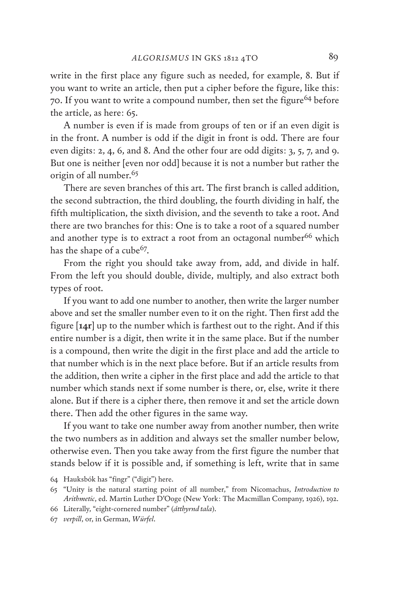write in the first place any figure such as needed, for example, 8. But if you want to write an article, then put a cipher before the figure, like this: 70. If you want to write a compound number, then set the figure<sup>64</sup> before the article, as here: 65.

A number is even if is made from groups of ten or if an even digit is in the front. A number is odd if the digit in front is odd. There are four even digits: 2, 4, 6, and 8. And the other four are odd digits: 3, 5, 7, and 9. But one is neither [even nor odd] because it is not a number but rather the origin of all number.<sup>65</sup>

There are seven branches of this art. The first branch is called addition, the second subtraction, the third doubling, the fourth dividing in half, the fifth multiplication, the sixth division, and the seventh to take a root. And there are two branches for this: One is to take a root of a squared number and another type is to extract a root from an octagonal number<sup>66</sup> which has the shape of a cube $67$ .

From the right you should take away from, add, and divide in half. From the left you should double, divide, multiply, and also extract both types of root.

If you want to add one number to another, then write the larger number above and set the smaller number even to it on the right. Then first add the figure [**14r**] up to the number which is farthest out to the right. And if this entire number is a digit, then write it in the same place. But if the number is a compound, then write the digit in the first place and add the article to that number which is in the next place before. But if an article results from the addition, then write a cipher in the first place and add the article to that number which stands next if some number is there, or, else, write it there alone. But if there is a cipher there, then remove it and set the article down there. Then add the other figures in the same way.

If you want to take one number away from another number, then write the two numbers as in addition and always set the smaller number below, otherwise even. Then you take away from the first figure the number that stands below if it is possible and, if something is left, write that in same

66 Literally, "eight-cornered number" (*átthyrnd tala*).

<sup>64</sup> Hauksbók has "fingr" ("digit") here.

<sup>65</sup> "Unity is the natural starting point of all number," from Nicomachus, *Introduction to Arithmetic*, ed. Martin Luther D'Ooge (New York: The Macmillan Company, 1926), 192.

<sup>67</sup> *verpill*, or, in German, *Würfel*.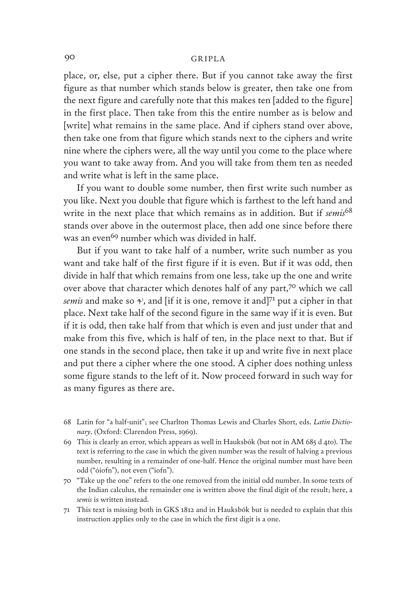place, or, else, put a cipher there. But if you cannot take away the first figure as that number which stands below is greater, then take one from the next figure and carefully note that this makes ten [added to the figure] in the first place. Then take from this the entire number as is below and [write] what remains in the same place. And if ciphers stand over above, then take one from that figure which stands next to the ciphers and write nine where the ciphers were, all the way until you come to the place where you want to take away from. And you will take from them ten as needed and write what is left in the same place.

If you want to double some number, then first write such number as you like. Next you double that figure which is farthest to the left hand and write in the next place that which remains as in addition. But if *semis*<sup>68</sup> stands over above in the outermost place, then add one since before there was an even<sup>69</sup> number which was divided in half.

But if you want to take half of a number, write such number as you want and take half of the first figure if it is even. But if it was odd, then divide in half that which remains from one less, take up the one and write over above that character which denotes half of any part,70 which we call *semis* and make so  $\gamma$ , and [if it is one, remove it and]<sup>71</sup> put a cipher in that place. Next take half of the second figure in the same way if it is even. But if it is odd, then take half from that which is even and just under that and make from this five, which is half of ten, in the place next to that. But if one stands in the second place, then take it up and write five in next place and put there a cipher where the one stood. A cipher does nothing unless some figure stands to the left of it. Now proceed forward in such way for as many figures as there are.

- 68 Latin for "a half-unit"; see Charlton Thomas Lewis and Charles Short, eds. *Latin Dictionary*. (Oxford: Clarendon Press, 1969).
- 69 This is clearly an error, which appears as well in Hauksbók (but not in AM 685 d 4to). The text is referring to the case in which the given number was the result of halving a previous number, resulting in a remainder of one-half. Hence the original number must have been odd ("óiofn"), not even ("iofn").
- 70 "Take up the one" refers to the one removed from the initial odd number. In some texts of the Indian calculus, the remainder one is written above the final digit of the result; here, a *semis* is written instead.
- 71 This text is missing both in GKS 1812 and in Hauksbók but is needed to explain that this instruction applies only to the case in which the first digit is a one.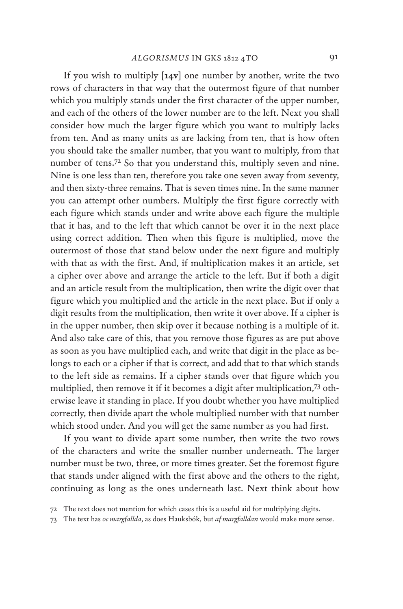If you wish to multiply [**14v**] one number by another, write the two rows of characters in that way that the outermost figure of that number which you multiply stands under the first character of the upper number, and each of the others of the lower number are to the left. Next you shall consider how much the larger figure which you want to multiply lacks from ten. And as many units as are lacking from ten, that is how often you should take the smaller number, that you want to multiply, from that number of tens.72 So that you understand this, multiply seven and nine. Nine is one less than ten, therefore you take one seven away from seventy, and then sixty-three remains. That is seven times nine. In the same manner you can attempt other numbers. Multiply the first figure correctly with each figure which stands under and write above each figure the multiple that it has, and to the left that which cannot be over it in the next place using correct addition. Then when this figure is multiplied, move the outermost of those that stand below under the next figure and multiply with that as with the first. And, if multiplication makes it an article, set a cipher over above and arrange the article to the left. But if both a digit and an article result from the multiplication, then write the digit over that figure which you multiplied and the article in the next place. But if only a digit results from the multiplication, then write it over above. If a cipher is in the upper number, then skip over it because nothing is a multiple of it. And also take care of this, that you remove those figures as are put above as soon as you have multiplied each, and write that digit in the place as belongs to each or a cipher if that is correct, and add that to that which stands to the left side as remains. If a cipher stands over that figure which you multiplied, then remove it if it becomes a digit after multiplication,73 otherwise leave it standing in place. If you doubt whether you have multiplied correctly, then divide apart the whole multiplied number with that number which stood under. And you will get the same number as you had first.

If you want to divide apart some number, then write the two rows of the characters and write the smaller number underneath. The larger number must be two, three, or more times greater. Set the foremost figure that stands under aligned with the first above and the others to the right, continuing as long as the ones underneath last. Next think about how

<sup>72</sup> The text does not mention for which cases this is a useful aid for multiplying digits.

<sup>73</sup> The text has *oc margfallda*, as does Hauksbók, but *af margfalldan* would make more sense.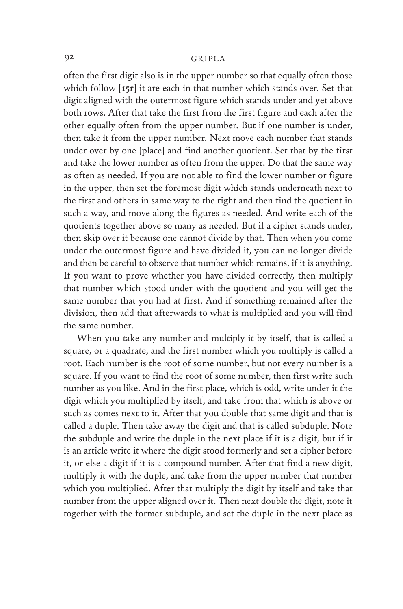often the first digit also is in the upper number so that equally often those which follow [**15r**] it are each in that number which stands over. Set that digit aligned with the outermost figure which stands under and yet above both rows. After that take the first from the first figure and each after the other equally often from the upper number. But if one number is under, then take it from the upper number. Next move each number that stands under over by one [place] and find another quotient. Set that by the first and take the lower number as often from the upper. Do that the same way as often as needed. If you are not able to find the lower number or figure in the upper, then set the foremost digit which stands underneath next to the first and others in same way to the right and then find the quotient in such a way, and move along the figures as needed. And write each of the quotients together above so many as needed. But if a cipher stands under, then skip over it because one cannot divide by that. Then when you come under the outermost figure and have divided it, you can no longer divide and then be careful to observe that number which remains, if it is anything. If you want to prove whether you have divided correctly, then multiply that number which stood under with the quotient and you will get the same number that you had at first. And if something remained after the division, then add that afterwards to what is multiplied and you will find the same number.

When you take any number and multiply it by itself, that is called a square, or a quadrate, and the first number which you multiply is called a root. Each number is the root of some number, but not every number is a square. If you want to find the root of some number, then first write such number as you like. And in the first place, which is odd, write under it the digit which you multiplied by itself, and take from that which is above or such as comes next to it. After that you double that same digit and that is called a duple. Then take away the digit and that is called subduple. Note the subduple and write the duple in the next place if it is a digit, but if it is an article write it where the digit stood formerly and set a cipher before it, or else a digit if it is a compound number. After that find a new digit, multiply it with the duple, and take from the upper number that number which you multiplied. After that multiply the digit by itself and take that number from the upper aligned over it. Then next double the digit, note it together with the former subduple, and set the duple in the next place as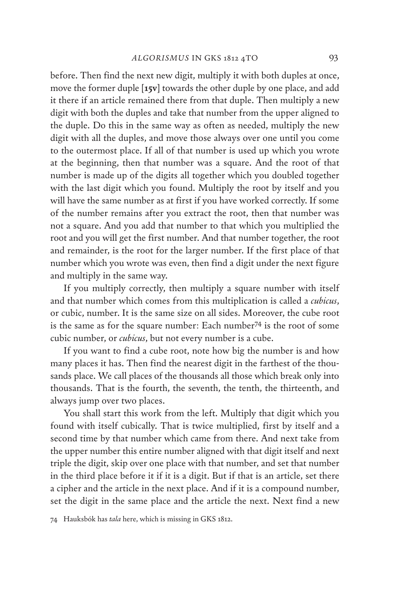before. Then find the next new digit, multiply it with both duples at once, move the former duple [**15v**] towards the other duple by one place, and add it there if an article remained there from that duple. Then multiply a new digit with both the duples and take that number from the upper aligned to the duple. Do this in the same way as often as needed, multiply the new digit with all the duples, and move those always over one until you come to the outermost place. If all of that number is used up which you wrote at the beginning, then that number was a square. And the root of that number is made up of the digits all together which you doubled together with the last digit which you found. Multiply the root by itself and you will have the same number as at first if you have worked correctly. If some of the number remains after you extract the root, then that number was not a square. And you add that number to that which you multiplied the root and you will get the first number. And that number together, the root and remainder, is the root for the larger number. If the first place of that number which you wrote was even, then find a digit under the next figure and multiply in the same way.

If you multiply correctly, then multiply a square number with itself and that number which comes from this multiplication is called a *cubicus*, or cubic, number. It is the same size on all sides. Moreover, the cube root is the same as for the square number: Each number74 is the root of some cubic number, or *cubicus*, but not every number is a cube.

If you want to find a cube root, note how big the number is and how many places it has. Then find the nearest digit in the farthest of the thousands place. We call places of the thousands all those which break only into thousands. That is the fourth, the seventh, the tenth, the thirteenth, and always jump over two places.

You shall start this work from the left. Multiply that digit which you found with itself cubically. That is twice multiplied, first by itself and a second time by that number which came from there. And next take from the upper number this entire number aligned with that digit itself and next triple the digit, skip over one place with that number, and set that number in the third place before it if it is a digit. But if that is an article, set there a cipher and the article in the next place. And if it is a compound number, set the digit in the same place and the article the next. Next find a new

74 Hauksbók has *tala* here, which is missing in GKS 1812.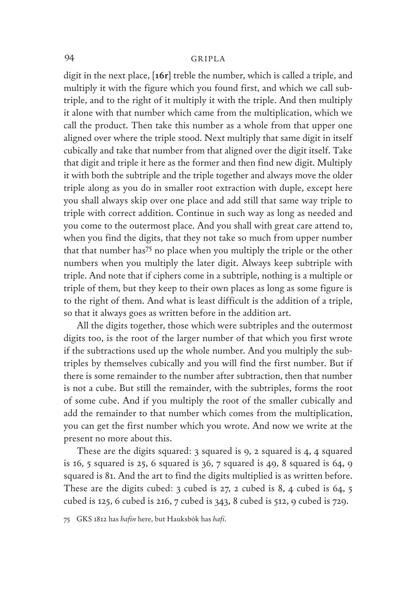digit in the next place, [**16r**] treble the number, which is called a triple, and multiply it with the figure which you found first, and which we call subtriple, and to the right of it multiply it with the triple. And then multiply it alone with that number which came from the multiplication, which we call the product. Then take this number as a whole from that upper one aligned over where the triple stood. Next multiply that same digit in itself cubically and take that number from that aligned over the digit itself. Take that digit and triple it here as the former and then find new digit. Multiply it with both the subtriple and the triple together and always move the older triple along as you do in smaller root extraction with duple, except here you shall always skip over one place and add still that same way triple to triple with correct addition. Continue in such way as long as needed and you come to the outermost place. And you shall with great care attend to, when you find the digits, that they not take so much from upper number that that number has75 no place when you multiply the triple or the other numbers when you multiply the later digit. Always keep subtriple with triple. And note that if ciphers come in a subtriple, nothing is a multiple or triple of them, but they keep to their own places as long as some figure is to the right of them. And what is least difficult is the addition of a triple, so that it always goes as written before in the addition art.

All the digits together, those which were subtriples and the outermost digits too, is the root of the larger number of that which you first wrote if the subtractions used up the whole number. And you multiply the subtriples by themselves cubically and you will find the first number. But if there is some remainder to the number after subtraction, then that number is not a cube. But still the remainder, with the subtriples, forms the root of some cube. And if you multiply the root of the smaller cubically and add the remainder to that number which comes from the multiplication, you can get the first number which you wrote. And now we write at the present no more about this.

These are the digits squared: 3 squared is 9, 2 squared is 4, 4 squared is 16, 5 squared is 25, 6 squared is 36, 7 squared is 49, 8 squared is 64, 9 squared is 81. And the art to find the digits multiplied is as written before. These are the digits cubed: 3 cubed is 27, 2 cubed is 8, 4 cubed is 64, 5 cubed is 125, 6 cubed is 216, 7 cubed is 343, 8 cubed is 512, 9 cubed is 729.

75 GKS 1812 has *hafin* here, but Hauksbók has *hafi*.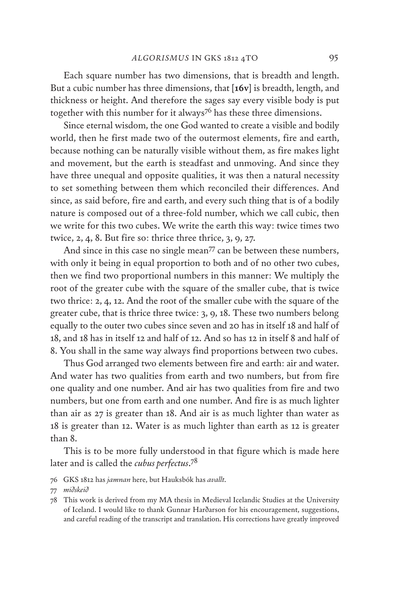Each square number has two dimensions, that is breadth and length. But a cubic number has three dimensions, that [**16v**] is breadth, length, and thickness or height. And therefore the sages say every visible body is put together with this number for it always<sup>76</sup> has these three dimensions.

Since eternal wisdom, the one God wanted to create a visible and bodily world, then he first made two of the outermost elements, fire and earth, because nothing can be naturally visible without them, as fire makes light and movement, but the earth is steadfast and unmoving. And since they have three unequal and opposite qualities, it was then a natural necessity to set something between them which reconciled their differences. And since, as said before, fire and earth, and every such thing that is of a bodily nature is composed out of a three-fold number, which we call cubic, then we write for this two cubes. We write the earth this way: twice times two twice, 2, 4, 8. But fire so: thrice three thrice, 3, 9, 27.

And since in this case no single mean<sup>77</sup> can be between these numbers, with only it being in equal proportion to both and of no other two cubes, then we find two proportional numbers in this manner: We multiply the root of the greater cube with the square of the smaller cube, that is twice two thrice: 2, 4, 12. And the root of the smaller cube with the square of the greater cube, that is thrice three twice: 3, 9, 18. These two numbers belong equally to the outer two cubes since seven and 20 has in itself 18 and half of 18, and 18 has in itself 12 and half of 12. And so has 12 in itself 8 and half of 8. You shall in the same way always find proportions between two cubes.

Thus God arranged two elements between fire and earth: air and water. And water has two qualities from earth and two numbers, but from fire one quality and one number. And air has two qualities from fire and two numbers, but one from earth and one number. And fire is as much lighter than air as 27 is greater than 18. And air is as much lighter than water as 18 is greater than 12. Water is as much lighter than earth as 12 is greater than 8.

This is to be more fully understood in that figure which is made here later and is called the *cubus perfectus*. 78

76 GKS 1812 has *jamnan* here, but Hauksbók has *avallt*.

<sup>77</sup> *miðskeið*

<sup>78</sup> This work is derived from my MA thesis in Medieval Icelandic Studies at the University of Iceland. I would like to thank Gunnar Harðarson for his encouragement, suggestions, and careful reading of the transcript and translation. His corrections have greatly improved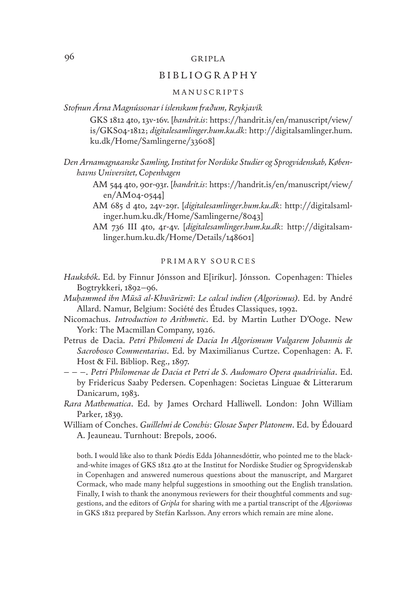#### BIBLIOGRAPHY

#### MANUSCRIPTS

*Stofnun Árna Magnússonar í íslenskum fræðum, Reykjavík*

GKS 1812 4to, 13v-16v. [*handrit.is*: https://handrit.is/en/manuscript/view/ is/GKS04-1812; *digitalesamlinger.hum.ku.dk*: http://digitalsamlinger.hum. ku.dk/Home/Samlingerne/33608]

*Den Arnamagnæanske Samling, Institut for Nordiske Studier og Sprogvidenskab, Københavns Universitet, Copenhagen*

- AM 544 4to, 90r-93r. [*handrit.is*: https://handrit.is/en/manuscript/view/ en/AM04-0544]
- AM 685 d 4to, 24v-29r. [*digitalesamlinger.hum.ku.dk*: http://digitalsamlinger.hum.ku.dk/Home/Samlingerne/8043]
- AM 736 III 4to, 4r-4v. [*digitalesamlinger.hum.ku.dk*: http://digitalsamlinger.hum.ku.dk/Home/Details/148601]

#### PRIMARY SOURCES

- *Hauksbók*. Ed. by Finnur Jónsson and E[iríkur]. Jónsson. Copenhagen: Thieles Bogtrykkeri, 1892–96.
- *Muḥammed ibn Mūsā al-Khwārizmī: Le calcul indien (Algorismus)*. Ed. by André Allard. Namur, Belgium: Société des Études Classiques, 1992.
- Nicomachus. *Introduction to Arithmetic*. Ed. by Martin Luther D'Ooge. New York: The Macmillan Company, 1926.
- Petrus de Dacia. *Petri Philomeni de Dacia In Algorismum Vulgarem Johannis de Sacrobosco Commentarius*. Ed. by Maximilianus Curtze. Copenhagen: A. F. Host & Fil. Bibliop. Reg., 1897.
- – –. *Petri Philomenae de Dacia et Petri de S. Audomaro Opera quadrivialia*. Ed. by Fridericus Saaby Pedersen. Copenhagen: Societas Linguae & Litterarum Danicarum, 1983.
- *Rara Mathematica*. Ed. by James Orchard Halliwell. London: John William Parker, 1839.
- William of Conches. *Guillelmi de Conchis: Glosae Super Platonem*. Ed. by Édouard A. Jeauneau. Turnhout: Brepols, 2006.

both. I would like also to thank Þórdís Edda Jóhannesdóttir, who pointed me to the blackand-white images of GKS 1812 4to at the Institut for Nordiske Studier og Sprogvidenskab in Copenhagen and answered numerous questions about the manuscript, and Margaret Cormack, who made many helpful suggestions in smoothing out the English translation. Finally, I wish to thank the anonymous reviewers for their thoughtful comments and suggestions, and the editors of *Gripla* for sharing with me a partial transcript of the *Algorismus* in GKS 1812 prepared by Stefán Karlsson. Any errors which remain are mine alone.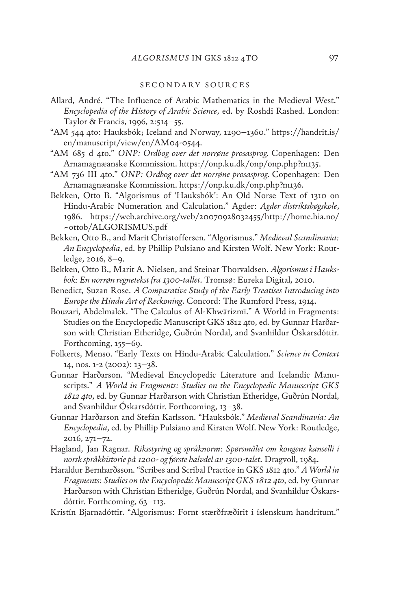#### SECONDARY SOURCES

- Allard, André. "The Influence of Arabic Mathematics in the Medieval West." *Encyclopedia of the History of Arabic Science*, ed. by Roshdi Rashed. London: Taylor & Francis, 1996, 2:514–55.
- "AM 544 4to: Hauksbók; Iceland and Norway, 1290–1360." https://handrit.is/ en/manuscript/view/en/AM04-0544.
- "AM 685 d 4to." *ONP: Ordbog over det norrøne prosasprog.* Copenhagen: Den Arnamagnæanske Kommission. https://onp.ku.dk/onp/onp.php?m135.
- "AM 736 III 4to." *ONP: Ordbog over det norrøne prosasprog.* Copenhagen: Den Arnamagnæanske Kommission. https://onp.ku.dk/onp.php?m136.
- Bekken, Otto B. "Algorismus of 'Hauksbók': An Old Norse Text of 1310 on Hindu-Arabic Numeration and Calculation." Agder: *Agder distriktshøgskole*, 1986. https://web.archive.org/web/20070928032455/http://home.hia.no/ ~ottob/ALGORISMUS.pdf
- Bekken, Otto B., and Marit Christoffersen. "Algorismus." *Medieval Scandinavia: An Encyclopedia*, ed. by Phillip Pulsiano and Kirsten Wolf. New York: Routledge, 2016, 8–9.
- Bekken, Otto B., Marit A. Nielsen, and Steinar Thorvaldsen. *Algorismus i Hauksbok: En norrøn regnetekst fra 1300-tallet*. Tromsø: Eureka Digital, 2010.
- Benedict, Suzan Rose. *A Comparative Study of the Early Treatises Introducing into Europe the Hindu Art of Reckoning*. Concord: The Rumford Press, 1914.
- Bouzari, Abdelmalek. "The Calculus of Al-Khwārizmī." A World in Fragments: Studies on the Encyclopedic Manuscript GKS 1812 4to, ed. by Gunnar Harðarson with Christian Etheridge, Guðrún Nordal, and Svanhildur Óskarsdóttir*.*  Forthcoming, 155–69.
- Folkerts, Menso. "Early Texts on Hindu-Arabic Calculation." *Science in Context* 14, nos. 1-2 (2002): 13–38.
- Gunnar Harðarson. "Medieval Encyclopedic Literature and Icelandic Manuscripts." *A World in Fragments: Studies on the Encyclopedic Manuscript GKS 1812 4to*, ed. by Gunnar Harðarson with Christian Etheridge, Guðrún Nordal, and Svanhildur Óskarsdóttir*.* Forthcoming, 13–38.
- Gunnar Harðarson and Stefán Karlsson. "Hauksbók." *Medieval Scandinavia: An Encyclopedia*, ed. by Phillip Pulsiano and Kirsten Wolf. New York: Routledge, 2016, 271–72.
- Hagland, Jan Ragnar. *Riksstyring og språknorm: Spørsmålet om kongens kanselli i norsk språkhistorie på 1200- og første halvdel av 1300-talet*. Dragvoll, 1984.
- Haraldur Bernharðsson. "Scribes and Scribal Practice in GKS 1812 4to." *A World in Fragments: Studies on the Encyclopedic Manuscript GKS 1812 4to*, ed. by Gunnar Harðarson with Christian Etheridge, Guðrún Nordal, and Svanhildur Óskarsdóttir. Forthcoming, 63–113.
- Kristín Bjarnadóttir. "Algorismus: Fornt stærðfræðirit í íslenskum handritum."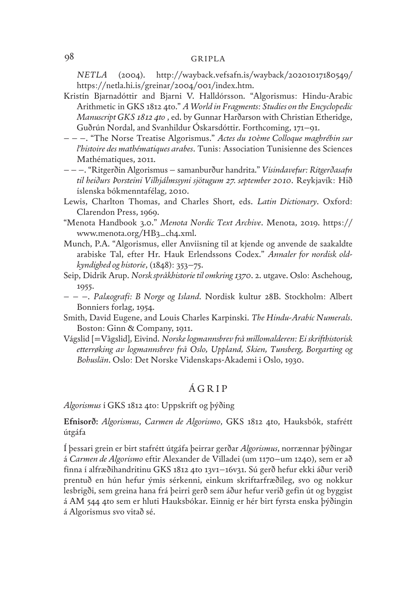*NETLA* (2004). http://wayback.vefsafn.is/wayback/20201017180549/ https://netla.hi.is/greinar/2004/001/index.htm.

- Kristín Bjarnadóttir and Bjarni V. Halldórsson. "Algorismus: Hindu-Arabic Arithmetic in GKS 1812 4to." *A World in Fragments: Studies on the Encyclopedic Manuscript GKS 1812 4to* , ed. by Gunnar Harðarson with Christian Etheridge, Guðrún Nordal, and Svanhildur Óskarsdóttir. Forthcoming, 171–91.
- – –. "The Norse Treatise Algorismus." *Actes du 10ème Colloque maghrébin sur l'histoire des mathématiques arabes*. Tunis: Association Tunisienne des Sciences Mathématiques, 2011.
- – –. "Ritgerðin Algorismus samanburður handrita." *Vísindavefur: Ritgerðasafn til heiðurs Þorsteini Vilhjálmssyni sjötugum 27. september 2010*. Reykjavík: Hið íslenska bókmenntafélag, 2010.
- Lewis, Charlton Thomas, and Charles Short, eds. *Latin Dictionary*. Oxford: Clarendon Press, 1969.
- "Menota Handbook 3.0." *Menota Nordic Text Archive*. Menota, 2019. https:// www.menota.org/HB3\_ch4.xml.
- Munch, P.A. "Algorismus, eller Anviisning til at kjende og anvende de saakaldte arabiske Tal, efter Hr. Hauk Erlendssons Codex." *Annaler for nordisk oldkyndighed og historie*, (1848): 353–75.
- Seip, Didrik Arup. *Norsk språkhistorie til omkring 1370*. 2. utgave. Oslo: Aschehoug, 1955.
- – –. *Palæografi: B Norge og Island*. Nordisk kultur 28B. Stockholm: Albert Bonniers forlag, 1954.
- Smith, David Eugene, and Louis Charles Karpinski. *The Hindu-Arabic Numerals*. Boston: Ginn & Company, 1911.
- Vágslid [=Vågslid], Eivind. *Norske logmannsbrev frå millomalderen: Ei skrifthistorisk etterrøking av logmannsbrev frå Oslo, Uppland, Skien, Tunsberg, Borgarting og Bohuslän*. Oslo: Det Norske Videnskaps-Akademi i Oslo, 1930.

#### ÁGRIP

*Algorismus* í GKS 1812 4to: Uppskrift og þýðing

**Efnisorð:** *Algorismus*, *Carmen de Algorismo*, GKS 1812 4to, Hauksbók, stafrétt útgáfa

Í þessari grein er birt stafrétt útgáfa þeirrar gerðar *Algorismus*, norrænnar þýðingar á *Carmen de Algorismo* eftir Alexander de Villadei (um 1170–um 1240), sem er að finna í alfræðihandritinu GKS 1812 4to 13v1–16v31. Sú gerð hefur ekki áður verið prentuð en hún hefur ýmis sérkenni, einkum skriftarfræðileg, svo og nokkur lesbrigði, sem greina hana frá þeirri gerð sem áður hefur verið gefin út og byggist á AM 544 4to sem er hluti Hauksbókar. Einnig er hér birt fyrsta enska þýðingin á Algorismus svo vitað sé.